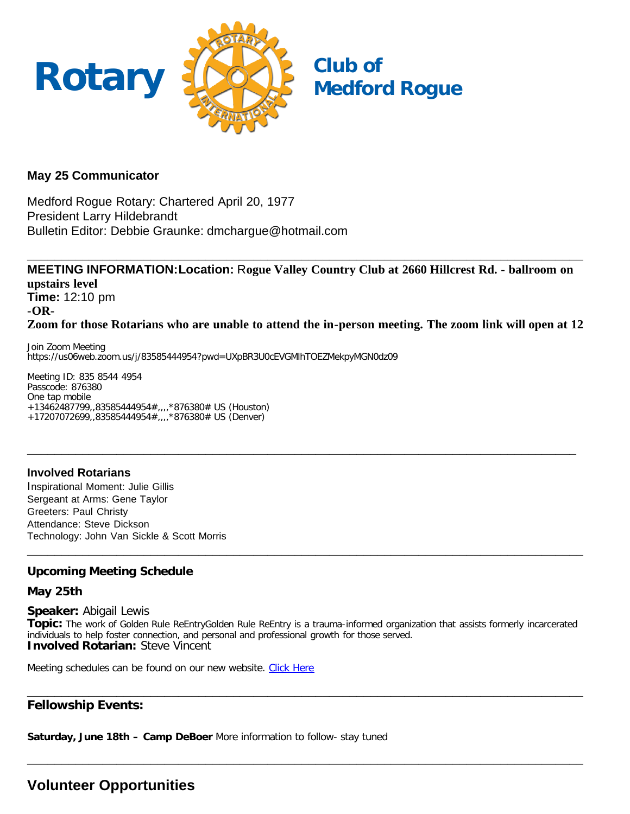

# **May 25 Communicator**

Medford Rogue Rotary: Chartered April 20, 1977 President Larry Hildebrandt Bulletin Editor: Debbie Graunke: dmchargue@hotmail.com

**MEETING INFORMATION:Location:** R**ogue Valley Country Club at 2660 Hillcrest Rd. - ballroom on upstairs level Time:** 12:10 pm **-OR-Zoom for those Rotarians who are unable to attend the in-person meeting. The zoom link will open at 12**

**\_\_\_\_\_\_\_\_\_\_\_\_\_\_\_\_\_\_\_\_\_\_\_\_\_\_\_\_\_\_\_\_\_\_\_\_\_\_\_\_\_\_\_\_\_\_\_\_\_\_\_\_\_\_\_\_\_\_\_\_\_\_\_\_\_\_\_\_\_\_\_\_\_\_\_\_\_\_\_\_**

**\_\_\_\_\_\_\_\_\_\_\_\_\_\_\_\_\_\_\_\_\_\_\_\_\_\_\_\_\_\_\_\_\_\_\_\_\_\_\_\_\_\_\_\_\_\_\_\_\_\_\_\_\_\_\_\_\_\_\_\_\_\_\_\_\_\_\_\_\_\_\_\_\_\_\_\_\_\_\_\_\_**

Join Zoom Meeting https://us06web.zoom.us/j/83585444954?pwd=UXpBR3U0cEVGMlhTOEZMekpyMGN0dz09

Meeting ID: 835 8544 4954 Passcode: 876380 One tap mobile +13462487799,,83585444954#,,,,\*876380# US (Houston) +17207072699,,83585444954#,,,,\*876380# US (Denver)

**Involved Rotarians** Inspirational Moment: Julie Gillis Sergeant at Arms: Gene Taylor Greeters: Paul Christy Attendance: Steve Dickson Technology: John Van Sickle & Scott Morris

# **Upcoming Meeting Schedule**

#### **May 25th**

**Speaker:** Abigail Lewis

**Topic:** The work of Golden Rule ReEntryGolden Rule ReEntry is a trauma-informed organization that assists formerly incarcerated individuals to help foster connection, and personal and professional growth for those served. **Involved Rotarian:** Steve Vincent

**\_\_\_\_\_\_\_\_\_\_\_\_\_\_\_\_\_\_\_\_\_\_\_\_\_\_\_\_\_\_\_\_\_\_\_\_\_\_\_\_\_\_\_\_\_\_\_\_\_\_\_\_\_\_\_\_\_\_\_\_\_\_\_\_\_\_\_\_\_\_\_\_\_\_\_\_\_\_\_\_\_**

**\_\_\_\_\_\_\_\_\_\_\_\_\_\_\_\_\_\_\_\_\_\_\_\_\_\_\_\_\_\_\_\_\_\_\_\_\_\_\_\_\_\_\_\_\_\_\_\_\_\_\_\_\_\_\_\_\_\_\_\_\_\_\_\_\_\_\_\_\_\_\_\_\_\_\_\_\_\_\_\_\_**

Meeting schedules can be found on our new website. [Click Here](https://medfordrogue.org/)

### **\_\_\_\_\_\_\_\_\_\_\_\_\_\_\_\_\_\_\_\_\_\_\_\_\_\_\_\_\_\_\_\_\_\_\_\_\_\_\_\_\_\_\_\_\_\_\_\_\_\_\_\_\_\_\_\_\_\_\_\_\_\_\_\_\_\_\_\_\_\_\_\_\_\_\_\_\_\_\_\_\_ Fellowship Events:**

**Saturday, June 18th – Camp DeBoer** More information to follow- stay tuned

# **Volunteer Opportunities**